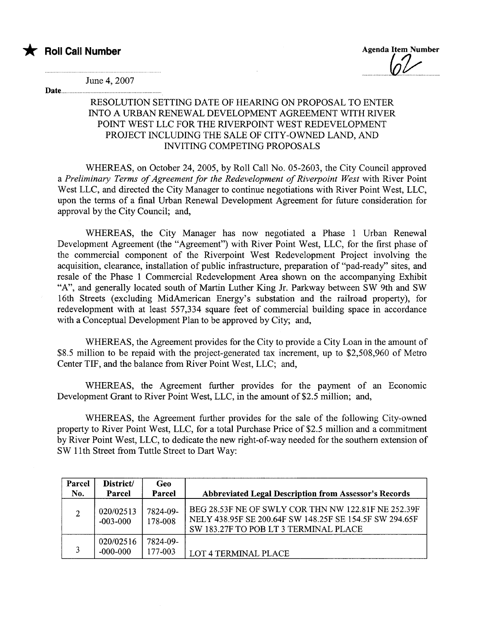### \* Roll Call Number Agenda Item Number Agenda Item Number

Date.........

June 4, 2007

#### RESOLUTION SETTING DATE OF HEARING ON PROPOSAL TO ENTER INTO A URBAN RENEWAL DEVELOPMENT AGREEMENT WITH RIVER POINT WEST LLC FOR THE RIVERPOINT WEST REDEVELOPMENT PROJECT INCLUDING THE SALE OF CITY-OWNED LAND, AND INVITING COMPETING PROPOSALS

WHEREAS, on October 24, 2005, by Roll Call No. 05-2603, the City Council approved a Preliminary Terms of Agreement for the Redevelopment of Riverpoint West with River Point West LLC, and directed the City Manager to continue negotiations with River Point West, LLC, upon the terms of a final Urban Renewal Development Agreement for future consideration for approval by the City Council; and,

WHEREAS, the City Manager has now negotiated a Phase 1 Urban Renewal Development Agreement (the "Agreement") with River Point West, LLC, for the first phase of the commercial component of the Riverpoint West Redevelopment Project involving the acquisition, clearance, installation of public infrastructure, preparation of "pad-ready" sites, and resale of the Phase 1 Commercial Redevelopment Area shown on the accompanying Exhibit "A", and generally located south of Marin Luther King Jr. Parkway between SW 9th and SW 16th Streets (excluding MidAmerican Energy's substation and the railroad property), for redevelopment with at least 557,334 square feet of commercial building space in accordance with a Conceptual Development Plan to be approved by City; and,

WHEREAS, the Agreement provides for the City to provide a City Loan in the amount of \$8.5 million to be repaid with the project-generated tax increment, up to \$2,508,960 of Metro Center TIP, and the balance from River Point West, LLC; and,

WHEREAS, the Agreement furher provides for the payment of an Economic Development Grant to River Point West, LLC, in the amount of \$2.5 million; and,

WHEREAS, the Agreement further provides for the sale of the following City-owned property to River Point West, LLC, for a total Purchase Price of \$2.5 million and a commitment by River Point West, LLC, to dedicate the new right-of-way needed for the southern extension of SW 11th Street from Tuttle Street to Dart Way:

| Parcel<br>No.  | District/<br>Parcel       | Geo<br>Parcel       | <b>Abbreviated Legal Description from Assessor's Records</b>                                                                                            |
|----------------|---------------------------|---------------------|---------------------------------------------------------------------------------------------------------------------------------------------------------|
| $\overline{2}$ | 020/02513<br>$-003 - 000$ | 7824-09-<br>178-008 | BEG 28.53F NE OF SWLY COR THN NW 122.81F NE 252.39F<br>NELY 438.95F SE 200.64F SW 148.25F SE 154.5F SW 294.65F<br>SW 183.27F TO POB LT 3 TERMINAL PLACE |
| $\mathbf{a}$   | 020/02516<br>$-000 - 000$ | 7824-09-<br>177-003 | <b>LOT 4 TERMINAL PLACE</b>                                                                                                                             |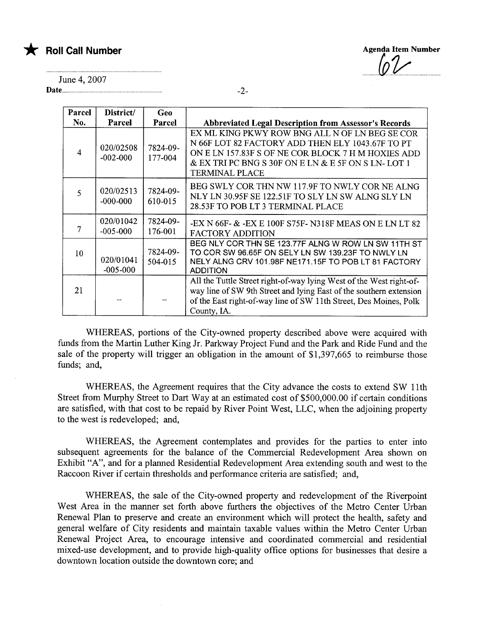

**Agenda Item Number** 

June 4,2007

Date.....................................

| Parcel       | District/                 | Geo                 |                                                                                                                                                                                                                                         |
|--------------|---------------------------|---------------------|-----------------------------------------------------------------------------------------------------------------------------------------------------------------------------------------------------------------------------------------|
| No.          | Parcel                    | Parcel              | <b>Abbreviated Legal Description from Assessor's Records</b>                                                                                                                                                                            |
| 4            | 020/02508<br>$-002 - 000$ | 7824-09-<br>177-004 | EX ML KING PKWY ROW BNG ALL N OF LN BEG SE COR<br>N 66F LOT 82 FACTORY ADD THEN ELY 1043.67F TO PT<br>ON E LN 157.83F S OF NE COR BLOCK 7 H M HOXIES ADD<br>& EX TRI PC BNG S 30F ON E LN & E 5F ON S LN-LOT 1<br><b>TERMINAL PLACE</b> |
| $\mathbf{5}$ | 020/02513<br>$-000 - 000$ | 7824-09-<br>610-015 | BEG SWLY COR THN NW 117.9F TO NWLY COR NE ALNG<br>NLY LN 30.95F SE 122.51F TO SLY LN SW ALNG SLY LN<br>28.53F TO POB LT 3 TERMINAL PLACE                                                                                                |
| 7            | 020/01042<br>$-005 - 000$ | 7824-09-<br>176-001 | -EX N 66F- & -EX E 100F S75F- N318F MEAS ON E LN LT 82<br><b>FACTORY ADDITION</b>                                                                                                                                                       |
| 10           | 020/01041<br>$-005 - 000$ | 7824-09-<br>504-015 | BEG NLY COR THN SE 123.77F ALNG W ROW LN SW 11TH ST<br>TO COR SW 96.65F ON SELY LN SW 139.23F TO NWLY LN<br>NELY ALNG CRV 101.98F NE171.15F TO POB LT 81 FACTORY<br><b>ADDITION</b>                                                     |
| 21           |                           |                     | All the Tuttle Street right-of-way lying West of the West right-of-<br>way line of SW 9th Street and lying East of the southern extension<br>of the East right-of-way line of SW 11th Street, Des Moines, Polk<br>County, IA.           |

WHEREAS, portions of the City-owned property described above were acquired with fuds from the Martin Luther King Jr. Parkway Project Fund and the Park and Ride Fund and the sale of the property will trigger an obligation in the amount of \$1,397,665 to reimburse those funds; and,

WHEREAS, the Agreement requires that the City advance the costs to extend SW 11th Street from Murphy Street to Dart Way at an estimated cost of \$500,000.00 if certain conditions are satisfied, with that cost to be repaid by River Point West, LLC, when the adjoining property to the west is redeveloped; and,

WHEREAS, the Agreement contemplates and provides for the parties to enter into subsequent agreements for the balance of the Commercial Redevelopment Area shown on Exhibit "A", and for a planed Residential Redevelopment Area extending south and west to the Raccoon River if certain thresholds and performance criteria are satisfied; and,

WHEREAS, the sale of the City-owned property and redevelopment of the Riverpoint West Area in the manner set forth above furthers the objectives of the Metro Center Urban Renewal Plan to preserve and create an environment which will protect the health, safety and general welfare of City residents and maintain taxable values within the Metro Center Urban Renewal Project Area, to encourage intensive and coordinated commercial and residential mixed-use development, and to provide high-quality office options for businesses that desire a downtown location outside the downtown core; and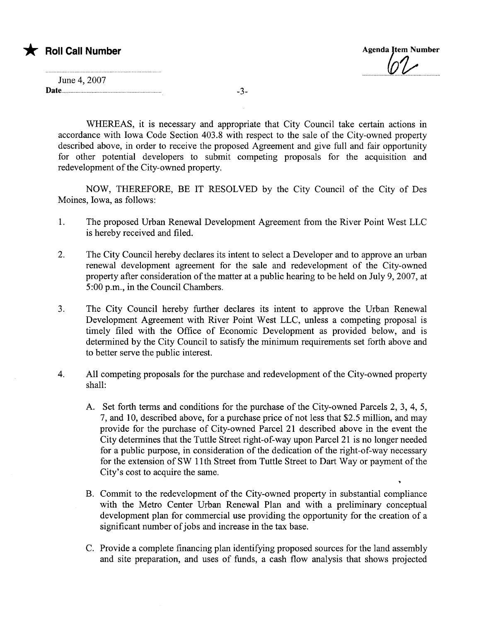## \* Roll Call Number Agenda Jtem Number

| June 4, 2007 |  |
|--------------|--|
| Date.        |  |

WHEREAS, it is necessary and appropriate that City Council take certain actions in accordance with Iowa Code Section 403.8 with respect to the sale of the City-owned property described above, in order to receive the proposed Agreement and give full and fair opportunity for other potential developers to submit competing proposals for the acquisition and redevelopment of the City-owned property.

NOW, THEREFORE, BE IT RESOLVED by the City Council of the City of Des Moines, Iowa, as follows:

- 1. The proposed Urban Renewal Development Agreement from the River Point West LLC is hereby received and filed.
- 2. The City Council hereby declares its intent to select a Developer and to approve an urban renewal development agreement for the sale and redevelopment of the City-owned property after consideration of the matter at a public hearing to be held on July 9,2007, at 5:00 p.m., in the Council Chambers.
- 3. The City Council hereby further declares its intent to approve the Urban Renewal Development Agreement with River Point West LLC, unless a competing proposal is timely filed with the Office of Economic Development as provided below, and is determined by the City Council to satisfy the minimum requirements set forth above and to better serve the public interest.
- 4. All competing proposals for the purchase and redevelopment of the City-owned property shall:
	- A. Set forth terms and conditions for the purchase of the City-owned Parcels 2, 3, 4, 5, 7, and 10, described above, for a purchase price of not less that \$2.5 million, and may provide for the purchase of City-owned Parcel 21 described above in the event the City determines that the Tuttle Street right-of-way upon Parcel 21 is no longer needed for a public purpose, in consideration of the dedication of the right-of-way necessary for the extension of SW 11th Street from Tuttle Street to Dart Way or payment of the City's cost to acquire the same.
	- B. Commit to the redevelopment of the City-owned property in substantial compliance with the Metro Center Urban Renewal Plan and with a preliminary conceptual development plan for commercial use providing the opportunity for the creation of a significant number of jobs and increase in the tax base.
	- C. Provide a complete financing plan identifying proposed sources for the land assembly and site preparation, and uses of funds, a cash flow analysis that shows projected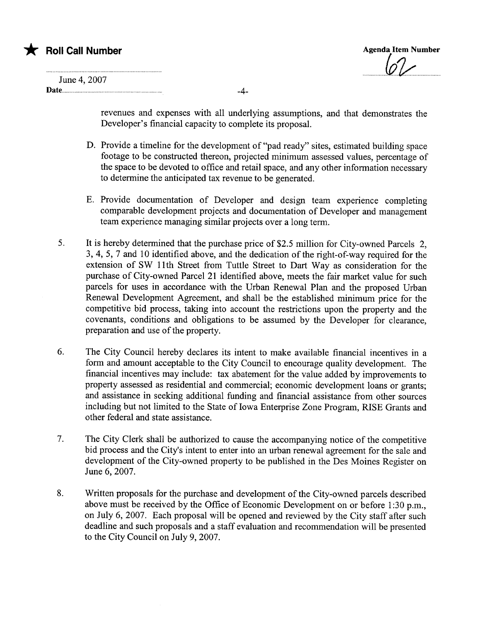# $\bigstar$  Roll Call Number

Agenda Item Number

| June 4, 2007 |
|--------------|
| Date         |

revenues and expenses with all underlying assumptions, and that demonstrates the Developer's financial capacity to complete its proposal.

- D. Provide a timeline for the development of "pad ready" sites, estimated building space footage to be constructed thereon, projected minimum assessed values, percentage of the space to be devoted to office and retail space, and any other information necessary to determine the anticipated tax revenue to be generated.
- E. Provide documentation of Developer and design team experience completing comparable development projects and documentation of Developer and management team experience managing similar projects over a long term.
- 5. It is hereby determined that the purchase price of \$2.5 million for City-owned Parcels 2, 3,4, 5, 7 and 10 identified above, and the dedication of the right-of-way required for the extension of SW 11th Street from Tuttle Street to Dart Way as consideration for the purchase of City-owned Parcel 21 identified above, meets the fair market value for such parcels for uses in accordance with the Urban Renewal Plan and the proposed Urban Renewal Development Agreement, and shall be the established minimum price for the competitive bid process, taking into account the restrictions upon the property and the covenants, conditions and obligations to be assumed by the Developer for clearance, preparation and use of the property.
- 6. The City Council hereby declares its intent to make available financial incentives in a form and amount acceptable to the City Council to encourage quality development. The financial incentives may include: tax abatement for the value added by improvements to property assessed as residential and commercial; economic development loans or grants; and assistance in seeking additional funding and financial assistance from other sources including but not limited to the State of Iowa Enterprise Zone Program, RISE Grants and other federal and state assistance.
- 7. The City Clerk shall be authorized to cause the accompanying notice of the competitive bid process and the City's intent to enter into an urban renewal agreement for the sale and development of the City-owned property to be published in the Des Moines Register on June 6, 2007.
- 8. Written proposals for the purchase and development of the City-owned parcels described above must be received by the Office of Economic Development on or before 1:30 p.m., on July 6, 2007. Each proposal will be opened and reviewed by the City staff after such deadline and such proposals and a staff evaluation and recommendation will be presented to the City Council on July 9,2007.